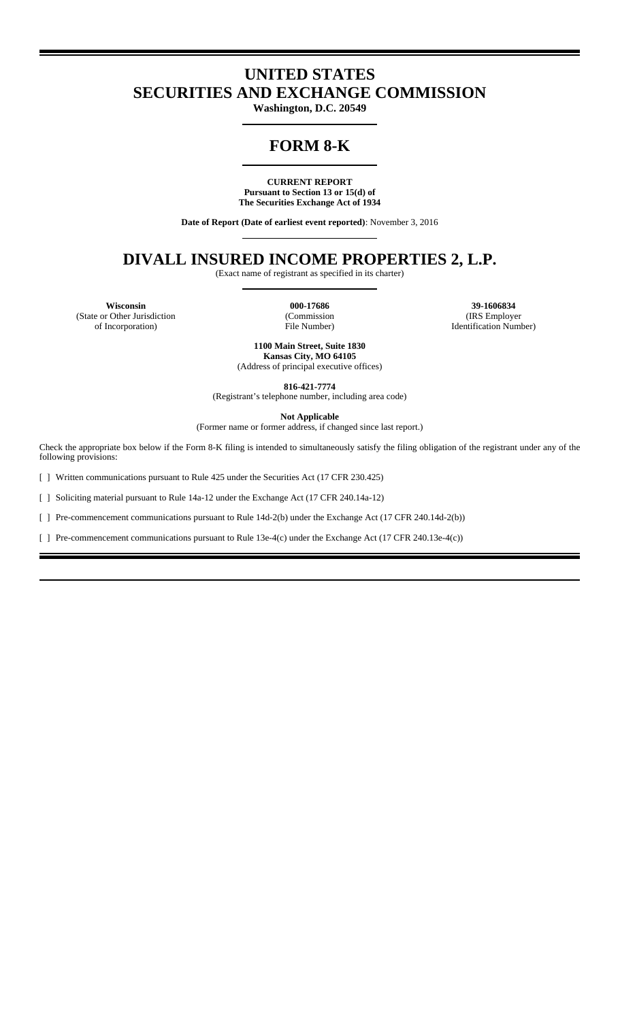## **UNITED STATES SECURITIES AND EXCHANGE COMMISSION**

**Washington, D.C. 20549**

# **FORM 8-K**

**CURRENT REPORT Pursuant to Section 13 or 15(d) of The Securities Exchange Act of 1934**

**Date of Report (Date of earliest event reported)**: November 3, 2016

## **DIVALL INSURED INCOME PROPERTIES 2, L.P.**

(Exact name of registrant as specified in its charter)

(State or Other Jurisdiction of Incorporation)

000-17686 (Commission File Number)

**Wisconsin 000-17686 39-1606834** (IRS Employer Identification Number)

> **1100 Main Street, Suite 1830 Kansas City, MO 64105** (Address of principal executive offices)

**816-421-7774** (Registrant's telephone number, including area code)

**Not Applicable** 

(Former name or former address, if changed since last report.)

Check the appropriate box below if the Form 8-K filing is intended to simultaneously satisfy the filing obligation of the registrant under any of the following provisions:

[ ] Written communications pursuant to Rule 425 under the Securities Act (17 CFR 230.425)

[ ] Soliciting material pursuant to Rule 14a-12 under the Exchange Act (17 CFR 240.14a-12)

[ ] Pre-commencement communications pursuant to Rule 14d-2(b) under the Exchange Act (17 CFR 240.14d-2(b))

[ ] Pre-commencement communications pursuant to Rule 13e-4(c) under the Exchange Act (17 CFR 240.13e-4(c))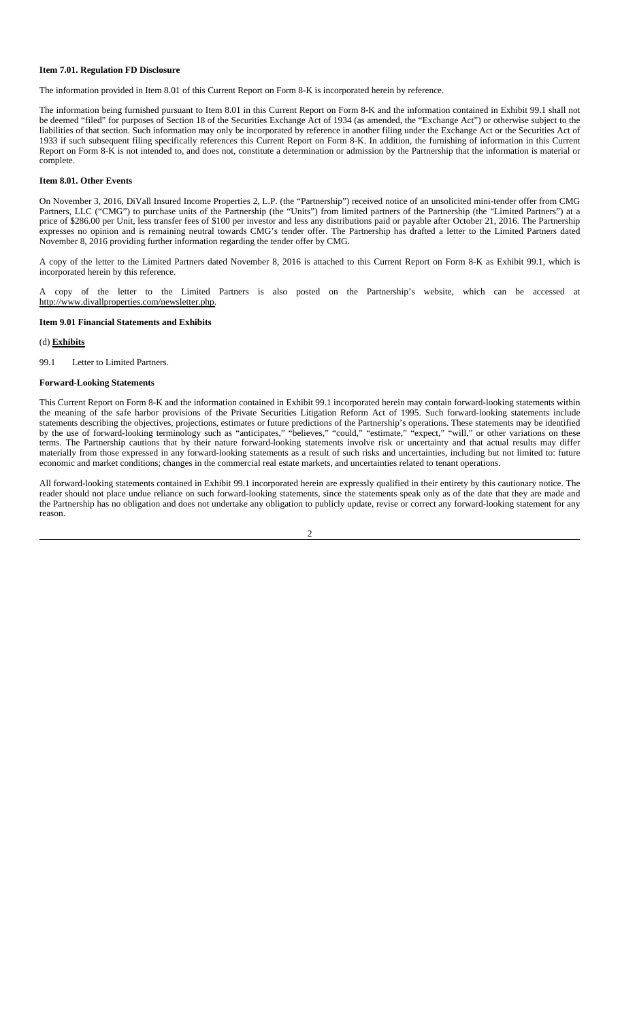#### **Item 7.01. Regulation FD Disclosure**

The information provided in Item 8.01 of this Current Report on Form 8-K is incorporated herein by reference.

The information being furnished pursuant to Item 8.01 in this Current Report on Form 8-K and the information contained in Exhibit 99.1 shall not be deemed "filed" for purposes of Section 18 of the Securities Exchange Act of 1934 (as amended, the "Exchange Act") or otherwise subject to the liabilities of that section. Such information may only be incorporated by reference in another filing under the Exchange Act or the Securities Act of 1933 if such subsequent filing specifically references this Current Report on Form 8-K. In addition, the furnishing of information in this Current Report on Form 8-K is not intended to, and does not, constitute a determination or admission by the Partnership that the information is material or complete.

#### **Item 8.01. Other Events**

On November 3, 2016, DiVall Insured Income Properties 2, L.P. (the "Partnership") received notice of an unsolicited mini-tender offer from CMG Partners, LLC ("CMG") to purchase units of the Partnership (the "Units") from limited partners of the Partnership (the "Limited Partners") at a price of \$286.00 per Unit, less transfer fees of \$100 per investor and less any distributions paid or payable after October 21, 2016. The Partnership expresses no opinion and is remaining neutral towards CMG's tender offer. The Partnership has drafted a letter to the Limited Partners dated November 8, 2016 providing further information regarding the tender offer by CMG.

A copy of the letter to the Limited Partners dated November 8, 2016 is attached to this Current Report on Form 8-K as Exhibit 99.1, which is incorporated herein by this reference.

A copy of the letter to the Limited Partners is also posted on the Partnership's website, which can be accessed at http://www.divallproperties.com/newsletter.php.

#### **Item 9.01 Financial Statements and Exhibits**

(d) **Exhibits**

99.1 Letter to Limited Partners.

#### **Forward-Looking Statements**

This Current Report on Form 8-K and the information contained in Exhibit 99.1 incorporated herein may contain forward-looking statements within the meaning of the safe harbor provisions of the Private Securities Litigation Reform Act of 1995. Such forward-looking statements include statements describing the objectives, projections, estimates or future predictions of the Partnership's operations. These statements may be identified by the use of forward-looking terminology such as "anticipates," "believes," "could," "estimate," "expect," "will," or other variations on these terms. The Partnership cautions that by their nature forward-looking statements involve risk or uncertainty and that actual results may differ materially from those expressed in any forward-looking statements as a result of such risks and uncertainties, including but not limited to: future economic and market conditions; changes in the commercial real estate markets, and uncertainties related to tenant operations.

All forward-looking statements contained in Exhibit 99.1 incorporated herein are expressly qualified in their entirety by this cautionary notice. The reader should not place undue reliance on such forward-looking statements, since the statements speak only as of the date that they are made and the Partnership has no obligation and does not undertake any obligation to publicly update, revise or correct any forward-looking statement for any reason.

#### 2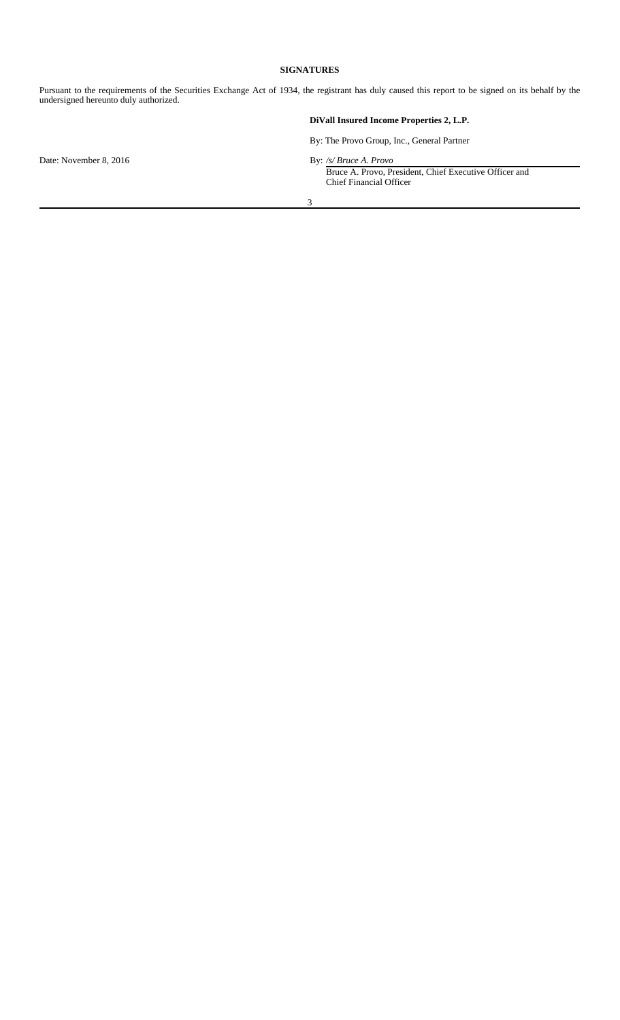#### **SIGNATURES**

Pursuant to the requirements of the Securities Exchange Act of 1934, the registrant has duly caused this report to be signed on its behalf by the undersigned hereunto duly authorized.

### **DiVall Insured Income Properties 2, L.P.**

By: The Provo Group, Inc., General Partner

Bruce A. Provo, President, Chief Executive Officer and **Chief Financial Officer** 

3

Date: November 8, 2016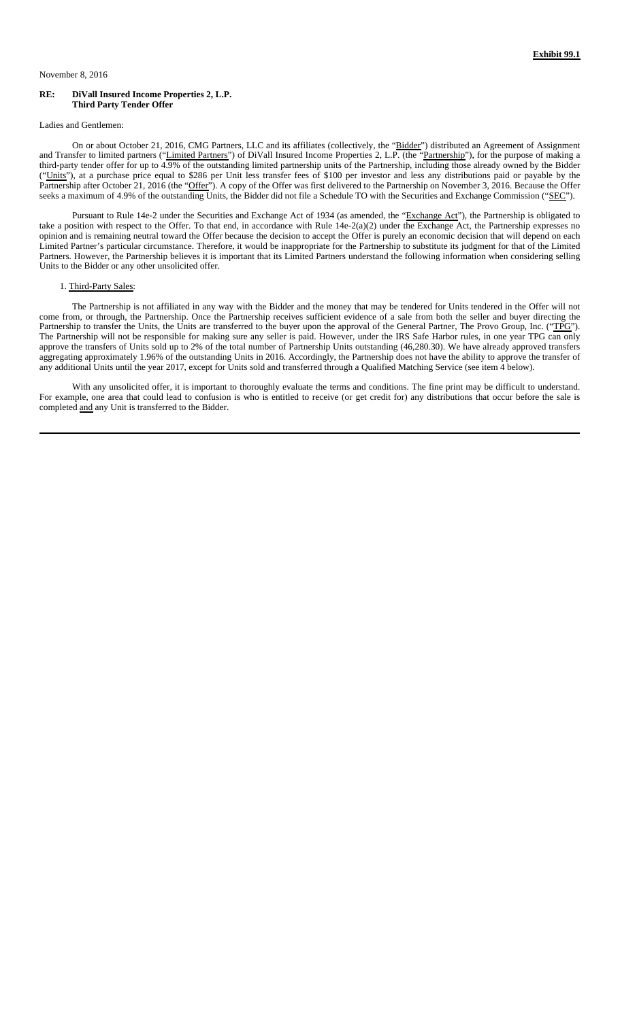#### **RE: DiVall Insured Income Properties 2, L.P. Third Party Tender Offer**

Ladies and Gentlemen:

On or about October 21, 2016, CMG Partners, LLC and its affiliates (collectively, the "Bidder") distributed an Agreement of Assignment and Transfer to limited partners ("Limited Partners") of DiVall Insured Income Properties 2, L.P. (the "Partnership"), for the purpose of making a third-party tender offer for up to 4.9% of the outstanding limited partnership units of the Partnership, including those already owned by the Bidder ("Units"), at a purchase price equal to \$286 per Unit less transfer fees of \$100 per investor and less any distributions paid or payable by the Partnership after October 21, 2016 (the "Offer"). A copy of the Offer was first delivered to the Partnership on November 3, 2016. Because the Offer seeks a maximum of 4.9% of the outstanding Units, the Bidder did not file a Schedule TO with the Securities and Exchange Commission ("SEC").

Pursuant to Rule 14e-2 under the Securities and Exchange Act of 1934 (as amended, the "Exchange Act"), the Partnership is obligated to take a position with respect to the Offer. To that end, in accordance with Rule 14e-2(a)(2) under the Exchange Act, the Partnership expresses no opinion and is remaining neutral toward the Offer because the decision to accept the Offer is purely an economic decision that will depend on each Limited Partner's particular circumstance. Therefore, it would be inappropriate for the Partnership to substitute its judgment for that of the Limited Partners. However, the Partnership believes it is important that its Limited Partners understand the following information when considering selling Units to the Bidder or any other unsolicited offer.

#### 1. Third-Party Sales:

The Partnership is not affiliated in any way with the Bidder and the money that may be tendered for Units tendered in the Offer will not come from, or through, the Partnership. Once the Partnership receives sufficient evidence of a sale from both the seller and buyer directing the Partnership to transfer the Units, the Units are transferred to the buyer upon the approval of the General Partner, The Provo Group, Inc. ("TPG"). The Partnership will not be responsible for making sure any seller is paid. However, under the IRS Safe Harbor rules, in one year TPG can only approve the transfers of Units sold up to 2% of the total number of Partnership Units outstanding (46,280.30). We have already approved transfers aggregating approximately 1.96% of the outstanding Units in 2016. Accordingly, the Partnership does not have the ability to approve the transfer of any additional Units until the year 2017, except for Units sold and transferred through a Qualified Matching Service (see item 4 below).

With any unsolicited offer, it is important to thoroughly evaluate the terms and conditions. The fine print may be difficult to understand. For example, one area that could lead to confusion is who is entitled to receive (or get credit for) any distributions that occur before the sale is completed and any Unit is transferred to the Bidder.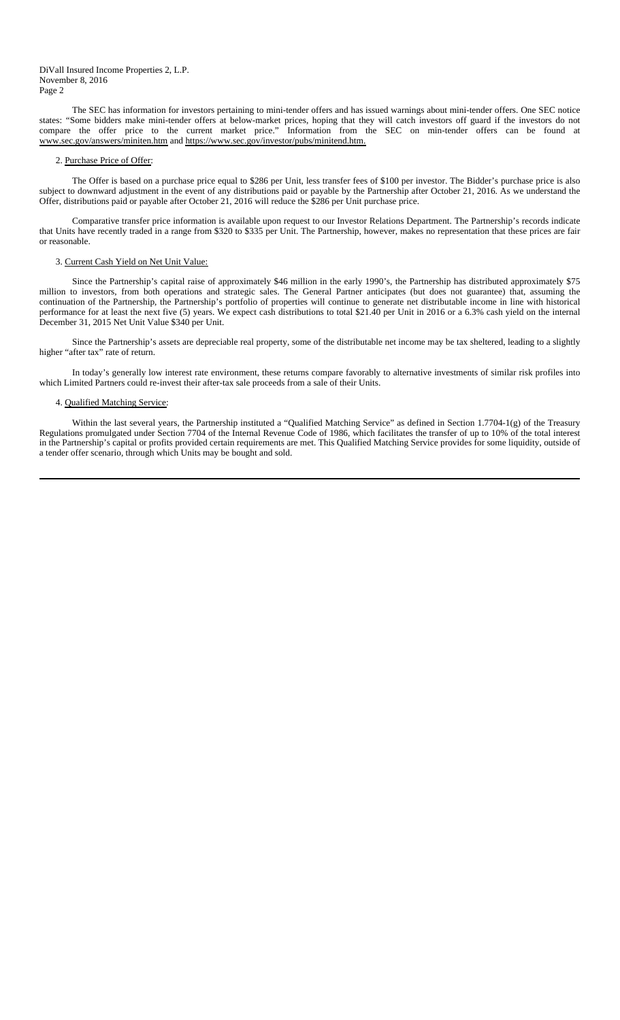The SEC has information for investors pertaining to mini-tender offers and has issued warnings about mini-tender offers. One SEC notice states: "Some bidders make mini-tender offers at below-market prices, hoping that they will catch investors off guard if the investors do not compare the offer price to the current market price." Information from the SEC on min-tender offers can be found at www.sec.gov/answers/miniten.htm and https://www.sec.gov/investor/pubs/minitend.htm.

#### 2. Purchase Price of Offer:

The Offer is based on a purchase price equal to \$286 per Unit, less transfer fees of \$100 per investor. The Bidder's purchase price is also subject to downward adjustment in the event of any distributions paid or payable by the Partnership after October 21, 2016. As we understand the Offer, distributions paid or payable after October 21, 2016 will reduce the \$286 per Unit purchase price.

Comparative transfer price information is available upon request to our Investor Relations Department. The Partnership's records indicate that Units have recently traded in a range from \$320 to \$335 per Unit. The Partnership, however, makes no representation that these prices are fair or reasonable.

#### 3. Current Cash Yield on Net Unit Value:

Since the Partnership's capital raise of approximately \$46 million in the early 1990's, the Partnership has distributed approximately \$75 million to investors, from both operations and strategic sales. The General Partner anticipates (but does not guarantee) that, assuming the continuation of the Partnership, the Partnership's portfolio of properties will continue to generate net distributable income in line with historical performance for at least the next five (5) years. We expect cash distributions to total \$21.40 per Unit in 2016 or a 6.3% cash yield on the internal December 31, 2015 Net Unit Value \$340 per Unit.

Since the Partnership's assets are depreciable real property, some of the distributable net income may be tax sheltered, leading to a slightly higher "after tax" rate of return.

In today's generally low interest rate environment, these returns compare favorably to alternative investments of similar risk profiles into which Limited Partners could re-invest their after-tax sale proceeds from a sale of their Units.

#### 4. Qualified Matching Service:

Within the last several years, the Partnership instituted a "Qualified Matching Service" as defined in Section 1.7704-1(g) of the Treasury Regulations promulgated under Section 7704 of the Internal Revenue Code of 1986, which facilitates the transfer of up to 10% of the total interest in the Partnership's capital or profits provided certain requirements are met. This Qualified Matching Service provides for some liquidity, outside of a tender offer scenario, through which Units may be bought and sold.